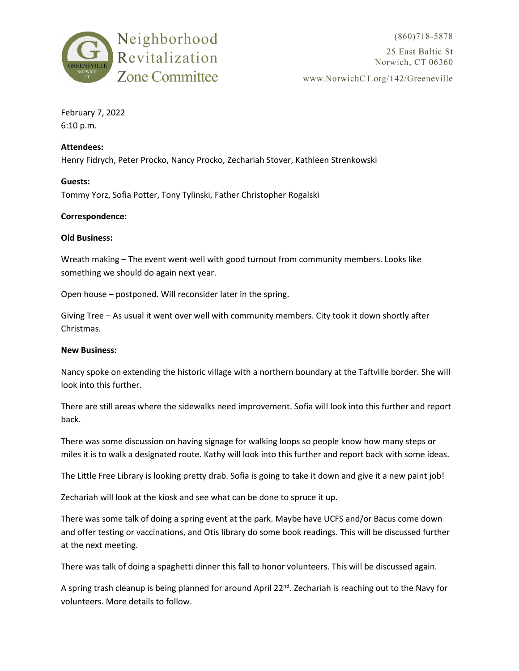

www.NorwichCT.org/142/Greeneville

February 7, 2022 6:10 p.m.

# **Attendees:**

Henry Fidrych, Peter Procko, Nancy Procko, Zechariah Stover, Kathleen Strenkowski

# **Guests:**

Tommy Yorz, Sofia Potter, Tony Tylinski, Father Christopher Rogalski

# **Correspondence:**

# **Old Business:**

Wreath making – The event went well with good turnout from community members. Looks like something we should do again next year.

Open house – postponed. Will reconsider later in the spring.

Giving Tree – As usual it went over well with community members. City took it down shortly after Christmas.

### **New Business:**

Nancy spoke on extending the historic village with a northern boundary at the Taftville border. She will look into this further.

There are still areas where the sidewalks need improvement. Sofia will look into this further and report back.

There was some discussion on having signage for walking loops so people know how many steps or miles it is to walk a designated route. Kathy will look into this further and report back with some ideas.

The Little Free Library is looking pretty drab. Sofia is going to take it down and give it a new paint job!

Zechariah will look at the kiosk and see what can be done to spruce it up.

There was some talk of doing a spring event at the park. Maybe have UCFS and/or Bacus come down and offer testing or vaccinations, and Otis library do some book readings. This will be discussed further at the next meeting.

There was talk of doing a spaghetti dinner this fall to honor volunteers. This will be discussed again.

A spring trash cleanup is being planned for around April 22<sup>nd</sup>. Zechariah is reaching out to the Navy for volunteers. More details to follow.